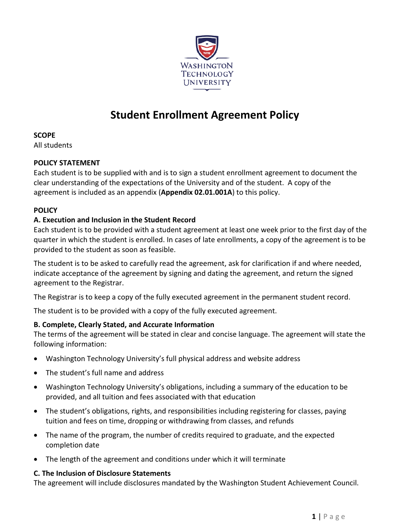

# **Student Enrollment Agreement Policy**

**SCOPE**

All students

#### **POLICY STATEMENT**

Each student is to be supplied with and is to sign a student enrollment agreement to document the clear understanding of the expectations of the University and of the student. A copy of the agreement is included as an appendix (**Appendix 02.01.001A**) to this policy.

#### **POLICY**

#### **A. Execution and Inclusion in the Student Record**

Each student is to be provided with a student agreement at least one week prior to the first day of the quarter in which the student is enrolled. In cases of late enrollments, a copy of the agreement is to be provided to the student as soon as feasible.

The student is to be asked to carefully read the agreement, ask for clarification if and where needed, indicate acceptance of the agreement by signing and dating the agreement, and return the signed agreement to the Registrar.

The Registrar is to keep a copy of the fully executed agreement in the permanent student record.

The student is to be provided with a copy of the fully executed agreement.

## **B. Complete, Clearly Stated, and Accurate Information**

The terms of the agreement will be stated in clear and concise language. The agreement will state the following information:

- Washington Technology University's full physical address and website address
- The student's full name and address
- Washington Technology University's obligations, including a summary of the education to be provided, and all tuition and fees associated with that education
- The student's obligations, rights, and responsibilities including registering for classes, paying tuition and fees on time, dropping or withdrawing from classes, and refunds
- The name of the program, the number of credits required to graduate, and the expected completion date
- The length of the agreement and conditions under which it will terminate

#### **C. The Inclusion of Disclosure Statements**

The agreement will include disclosures mandated by the Washington Student Achievement Council.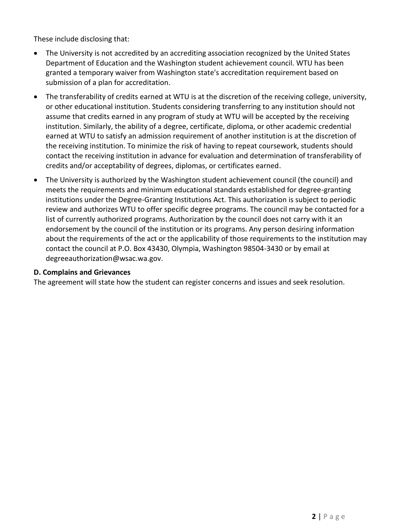These include disclosing that:

- The University is not accredited by an accrediting association recognized by the United States Department of Education and the Washington student achievement council. WTU has been granted a temporary waiver from Washington state's accreditation requirement based on submission of a plan for accreditation.
- The transferability of credits earned at WTU is at the discretion of the receiving college, university, or other educational institution. Students considering transferring to any institution should not assume that credits earned in any program of study at WTU will be accepted by the receiving institution. Similarly, the ability of a degree, certificate, diploma, or other academic credential earned at WTU to satisfy an admission requirement of another institution is at the discretion of the receiving institution. To minimize the risk of having to repeat coursework, students should contact the receiving institution in advance for evaluation and determination of transferability of credits and/or acceptability of degrees, diplomas, or certificates earned.
- The University is authorized by the Washington student achievement council (the council) and meets the requirements and minimum educational standards established for degree-granting institutions under the Degree-Granting Institutions Act. This authorization is subject to periodic review and authorizes WTU to offer specific degree programs. The council may be contacted for a list of currently authorized programs. Authorization by the council does not carry with it an endorsement by the council of the institution or its programs. Any person desiring information about the requirements of the act or the applicability of those requirements to the institution may contact the council at P.O. Box 43430, Olympia, Washington 98504-3430 or by email at degreeauthorization@wsac.wa.gov.

#### **D. Complains and Grievances**

The agreement will state how the student can register concerns and issues and seek resolution.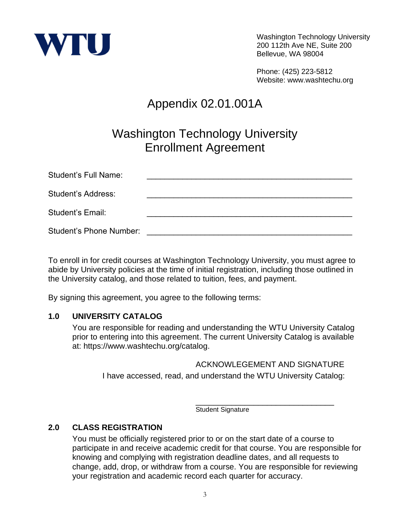

Washington Technology University 200 112th Ave NE, Suite 200 Bellevue, WA 98004

Phone: (425) 223-5812 Website: www.washtechu.org

# Appendix 02.01.001A

# Washington Technology University Enrollment Agreement

| <b>Student's Full Name:</b>    |  |
|--------------------------------|--|
| Student's Address:             |  |
| <b>Student's Email:</b>        |  |
| <b>Student's Phone Number:</b> |  |

To enroll in for credit courses at Washington Technology University, you must agree to abide by University policies at the time of initial registration, including those outlined in the University catalog, and those related to tuition, fees, and payment.

By signing this agreement, you agree to the following terms:

#### **1.0 UNIVERSITY CATALOG**

You are responsible for reading and understanding the WTU University Catalog prior to entering into this agreement. The current University Catalog is available at: https://www.washtechu.org/catalog.

#### ACKNOWLEGEMENT AND SIGNATURE I have accessed, read, and understand the WTU University Catalog:

\_\_\_\_\_\_\_\_\_\_\_\_\_\_\_\_\_\_\_\_\_\_\_\_\_\_\_\_\_\_\_ Student Signature

## **2.0 CLASS REGISTRATION**

You must be officially registered prior to or on the start date of a course to participate in and receive academic credit for that course. You are responsible for knowing and complying with registration deadline dates, and all requests to change, add, drop, or withdraw from a course. You are responsible for reviewing your registration and academic record each quarter for accuracy.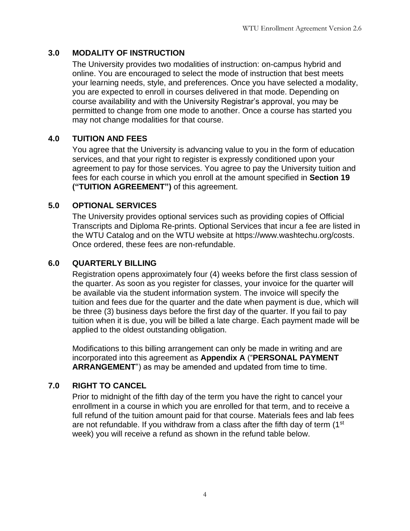# **3.0 MODALITY OF INSTRUCTION**

The University provides two modalities of instruction: on-campus hybrid and online. You are encouraged to select the mode of instruction that best meets your learning needs, style, and preferences. Once you have selected a modality, you are expected to enroll in courses delivered in that mode. Depending on course availability and with the University Registrar's approval, you may be permitted to change from one mode to another. Once a course has started you may not change modalities for that course.

# **4.0 TUITION AND FEES**

You agree that the University is advancing value to you in the form of education services, and that your right to register is expressly conditioned upon your agreement to pay for those services. You agree to pay the University tuition and fees for each course in which you enroll at the amount specified in **Section 19 ("TUITION AGREEMENT")** of this agreement.

## **5.0 OPTIONAL SERVICES**

The University provides optional services such as providing copies of Official Transcripts and Diploma Re-prints. Optional Services that incur a fee are listed in the WTU Catalog and on the WTU website at https://www.washtechu.org/costs. Once ordered, these fees are non-refundable.

## **6.0 QUARTERLY BILLING**

Registration opens approximately four (4) weeks before the first class session of the quarter. As soon as you register for classes, your invoice for the quarter will be available via the student information system. The invoice will specify the tuition and fees due for the quarter and the date when payment is due, which will be three (3) business days before the first day of the quarter. If you fail to pay tuition when it is due, you will be billed a late charge. Each payment made will be applied to the oldest outstanding obligation.

Modifications to this billing arrangement can only be made in writing and are incorporated into this agreement as **Appendix A** ("**PERSONAL PAYMENT ARRANGEMENT**") as may be amended and updated from time to time.

# **7.0 RIGHT TO CANCEL**

Prior to midnight of the fifth day of the term you have the right to cancel your enrollment in a course in which you are enrolled for that term, and to receive a full refund of the tuition amount paid for that course. Materials fees and lab fees are not refundable. If you withdraw from a class after the fifth day of term  $(1<sup>st</sup>$ week) you will receive a refund as shown in the refund table below.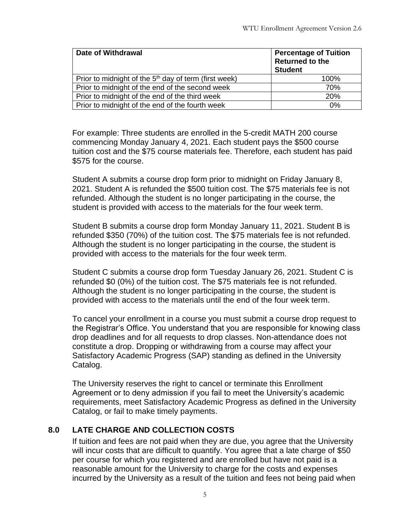| <b>Date of Withdrawal</b>                               | <b>Percentage of Tuition</b><br><b>Returned to the</b><br><b>Student</b> |
|---------------------------------------------------------|--------------------------------------------------------------------------|
| Prior to midnight of the $5th$ day of term (first week) | 100%                                                                     |
| Prior to midnight of the end of the second week         | 70%                                                                      |
| Prior to midnight of the end of the third week          | 20%                                                                      |
| Prior to midnight of the end of the fourth week         | 0%                                                                       |

For example: Three students are enrolled in the 5-credit MATH 200 course commencing Monday January 4, 2021. Each student pays the \$500 course tuition cost and the \$75 course materials fee. Therefore, each student has paid \$575 for the course.

Student A submits a course drop form prior to midnight on Friday January 8, 2021. Student A is refunded the \$500 tuition cost. The \$75 materials fee is not refunded. Although the student is no longer participating in the course, the student is provided with access to the materials for the four week term.

Student B submits a course drop form Monday January 11, 2021. Student B is refunded \$350 (70%) of the tuition cost. The \$75 materials fee is not refunded. Although the student is no longer participating in the course, the student is provided with access to the materials for the four week term.

Student C submits a course drop form Tuesday January 26, 2021. Student C is refunded \$0 (0%) of the tuition cost. The \$75 materials fee is not refunded. Although the student is no longer participating in the course, the student is provided with access to the materials until the end of the four week term.

To cancel your enrollment in a course you must submit a course drop request to the Registrar's Office. You understand that you are responsible for knowing class drop deadlines and for all requests to drop classes. Non-attendance does not constitute a drop. Dropping or withdrawing from a course may affect your Satisfactory Academic Progress (SAP) standing as defined in the University Catalog.

The University reserves the right to cancel or terminate this Enrollment Agreement or to deny admission if you fail to meet the University's academic requirements, meet Satisfactory Academic Progress as defined in the University Catalog, or fail to make timely payments.

# **8.0 LATE CHARGE AND COLLECTION COSTS**

If tuition and fees are not paid when they are due, you agree that the University will incur costs that are difficult to quantify. You agree that a late charge of \$50 per course for which you registered and are enrolled but have not paid is a reasonable amount for the University to charge for the costs and expenses incurred by the University as a result of the tuition and fees not being paid when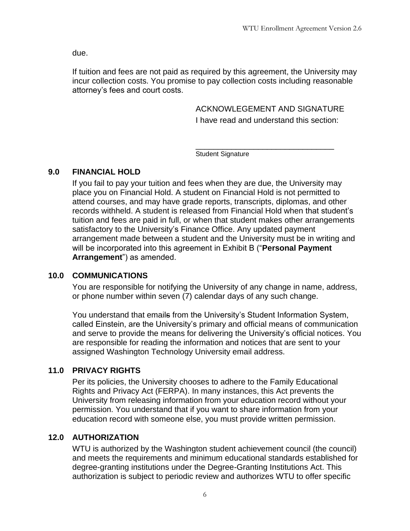due.

If tuition and fees are not paid as required by this agreement, the University may incur collection costs. You promise to pay collection costs including reasonable attorney's fees and court costs.

> ACKNOWLEGEMENT AND SIGNATURE I have read and understand this section:

\_\_\_\_\_\_\_\_\_\_\_\_\_\_\_\_\_\_\_\_\_\_\_\_\_\_\_\_\_\_\_ Student Signature

## **9.0 FINANCIAL HOLD**

If you fail to pay your tuition and fees when they are due, the University may place you on Financial Hold. A student on Financial Hold is not permitted to attend courses, and may have grade reports, transcripts, diplomas, and other records withheld. A student is released from Financial Hold when that student's tuition and fees are paid in full, or when that student makes other arrangements satisfactory to the University's Finance Office. Any updated payment arrangement made between a student and the University must be in writing and will be incorporated into this agreement in Exhibit B ("**Personal Payment Arrangement**") as amended.

## **10.0 COMMUNICATIONS**

You are responsible for notifying the University of any change in name, address, or phone number within seven (7) calendar days of any such change.

You understand that emails from the University's Student Information System, called Einstein, are the University's primary and official means of communication and serve to provide the means for delivering the University's official notices. You are responsible for reading the information and notices that are sent to your assigned Washington Technology University email address.

# **11.0 PRIVACY RIGHTS**

Per its policies, the University chooses to adhere to the Family Educational Rights and Privacy Act (FERPA). In many instances, this Act prevents the University from releasing information from your education record without your permission. You understand that if you want to share information from your education record with someone else, you must provide written permission.

# **12.0 AUTHORIZATION**

WTU is authorized by the Washington student achievement council (the council) and meets the requirements and minimum educational standards established for degree-granting institutions under the Degree-Granting Institutions Act. This authorization is subject to periodic review and authorizes WTU to offer specific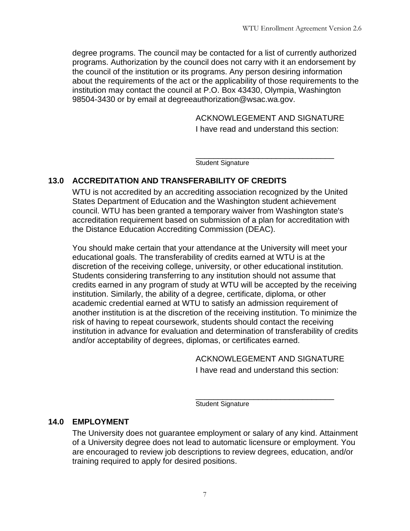degree programs. The council may be contacted for a list of currently authorized programs. Authorization by the council does not carry with it an endorsement by the council of the institution or its programs. Any person desiring information about the requirements of the act or the applicability of those requirements to the institution may contact the council at P.O. Box 43430, Olympia, Washington 98504-3430 or by email at degreeauthorization@wsac.wa.gov.

ACKNOWLEGEMENT AND SIGNATURE

I have read and understand this section:

\_\_\_\_\_\_\_\_\_\_\_\_\_\_\_\_\_\_\_\_\_\_\_\_\_\_\_\_\_\_\_

Student Signature

# **13.0 ACCREDITATION AND TRANSFERABILITY OF CREDITS**

WTU is not accredited by an accrediting association recognized by the United States Department of Education and the Washington student achievement council. WTU has been granted a temporary waiver from Washington state's accreditation requirement based on submission of a plan for accreditation with the Distance Education Accrediting Commission (DEAC).

You should make certain that your attendance at the University will meet your educational goals. The transferability of credits earned at WTU is at the discretion of the receiving college, university, or other educational institution. Students considering transferring to any institution should not assume that credits earned in any program of study at WTU will be accepted by the receiving institution. Similarly, the ability of a degree, certificate, diploma, or other academic credential earned at WTU to satisfy an admission requirement of another institution is at the discretion of the receiving institution. To minimize the risk of having to repeat coursework, students should contact the receiving institution in advance for evaluation and determination of transferability of credits and/or acceptability of degrees, diplomas, or certificates earned.

ACKNOWLEGEMENT AND SIGNATURE

I have read and understand this section:

\_\_\_\_\_\_\_\_\_\_\_\_\_\_\_\_\_\_\_\_\_\_\_\_\_\_\_\_\_\_\_ Student Signature

## **14.0 EMPLOYMENT**

The University does not guarantee employment or salary of any kind. Attainment of a University degree does not lead to automatic licensure or employment. You are encouraged to review job descriptions to review degrees, education, and/or training required to apply for desired positions.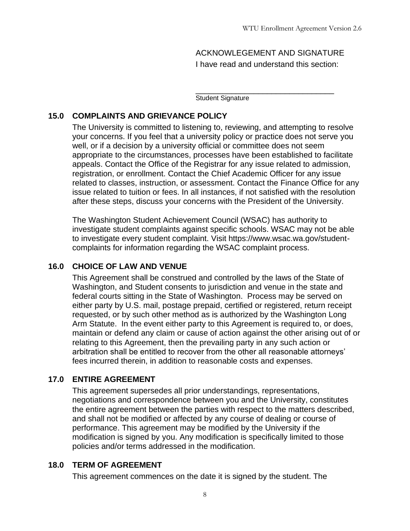ACKNOWLEGEMENT AND SIGNATURE I have read and understand this section:

\_\_\_\_\_\_\_\_\_\_\_\_\_\_\_\_\_\_\_\_\_\_\_\_\_\_\_\_\_\_\_

Student Signature

#### **15.0 COMPLAINTS AND GRIEVANCE POLICY**

The University is committed to listening to, reviewing, and attempting to resolve your concerns. If you feel that a university policy or practice does not serve you well, or if a decision by a university official or committee does not seem appropriate to the circumstances, processes have been established to facilitate appeals. Contact the Office of the Registrar for any issue related to admission, registration, or enrollment. Contact the Chief Academic Officer for any issue related to classes, instruction, or assessment. Contact the Finance Office for any issue related to tuition or fees. In all instances, if not satisfied with the resolution after these steps, discuss your concerns with the President of the University.

The Washington Student Achievement Council (WSAC) has authority to investigate student complaints against specific schools. WSAC may not be able to investigate every student complaint. Visit https://www.wsac.wa.gov/studentcomplaints for information regarding the WSAC complaint process.

### **16.0 CHOICE OF LAW AND VENUE**

This Agreement shall be construed and controlled by the laws of the State of Washington, and Student consents to jurisdiction and venue in the state and federal courts sitting in the State of Washington. Process may be served on either party by U.S. mail, postage prepaid, certified or registered, return receipt requested, or by such other method as is authorized by the Washington Long Arm Statute. In the event either party to this Agreement is required to, or does, maintain or defend any claim or cause of action against the other arising out of or relating to this Agreement, then the prevailing party in any such action or arbitration shall be entitled to recover from the other all reasonable attorneys' fees incurred therein, in addition to reasonable costs and expenses.

#### **17.0 ENTIRE AGREEMENT**

This agreement supersedes all prior understandings, representations, negotiations and correspondence between you and the University, constitutes the entire agreement between the parties with respect to the matters described, and shall not be modified or affected by any course of dealing or course of performance. This agreement may be modified by the University if the modification is signed by you. Any modification is specifically limited to those policies and/or terms addressed in the modification.

#### **18.0 TERM OF AGREEMENT**

This agreement commences on the date it is signed by the student. The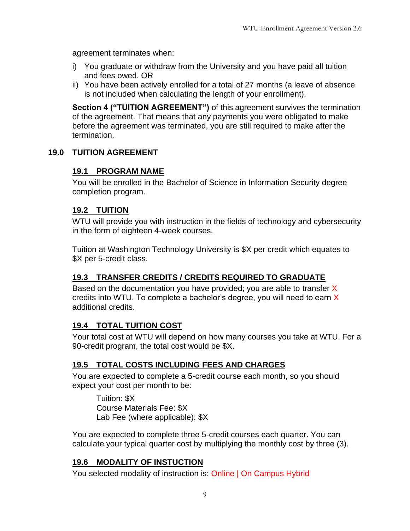agreement terminates when:

- i) You graduate or withdraw from the University and you have paid all tuition and fees owed. OR
- ii) You have been actively enrolled for a total of 27 months (a leave of absence is not included when calculating the length of your enrollment).

**Section 4 ("TUITION AGREEMENT")** of this agreement survives the termination of the agreement. That means that any payments you were obligated to make before the agreement was terminated, you are still required to make after the termination.

## **19.0 TUITION AGREEMENT**

## **19.1 PROGRAM NAME**

You will be enrolled in the Bachelor of Science in Information Security degree completion program.

#### **19.2 TUITION**

WTU will provide you with instruction in the fields of technology and cybersecurity in the form of eighteen 4-week courses.

Tuition at Washington Technology University is \$X per credit which equates to \$X per 5-credit class.

## **19.3 TRANSFER CREDITS / CREDITS REQUIRED TO GRADUATE**

Based on the documentation you have provided; you are able to transfer  $X$ credits into WTU. To complete a bachelor's degree, you will need to earn X additional credits.

## **19.4 TOTAL TUITION COST**

Your total cost at WTU will depend on how many courses you take at WTU. For a 90-credit program, the total cost would be \$X.

## **19.5 TOTAL COSTS INCLUDING FEES AND CHARGES**

You are expected to complete a 5-credit course each month, so you should expect your cost per month to be:

Tuition: \$X Course Materials Fee: \$X Lab Fee (where applicable): \$X

You are expected to complete three 5-credit courses each quarter. You can calculate your typical quarter cost by multiplying the monthly cost by three (3).

#### **19.6 MODALITY OF INSTUCTION**

You selected modality of instruction is: Online | On Campus Hybrid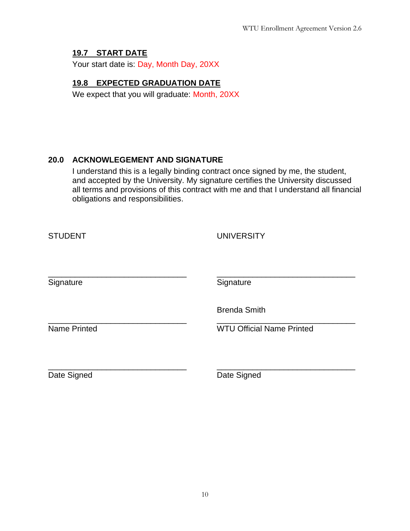## **19.7 START DATE**

Your start date is: Day, Month Day, 20XX

## **19.8 EXPECTED GRADUATION DATE**

We expect that you will graduate: Month, 20XX

## **20.0 ACKNOWLEGEMENT AND SIGNATURE**

I understand this is a legally binding contract once signed by me, the student, and accepted by the University. My signature certifies the University discussed all terms and provisions of this contract with me and that I understand all financial obligations and responsibilities.

| <b>STUDENT</b>      | <b>UNIVERSITY</b>                |
|---------------------|----------------------------------|
| Signature           | Signature                        |
|                     | <b>Brenda Smith</b>              |
| <b>Name Printed</b> | <b>WTU Official Name Printed</b> |
|                     |                                  |
| Date Signed         | Date Signed                      |